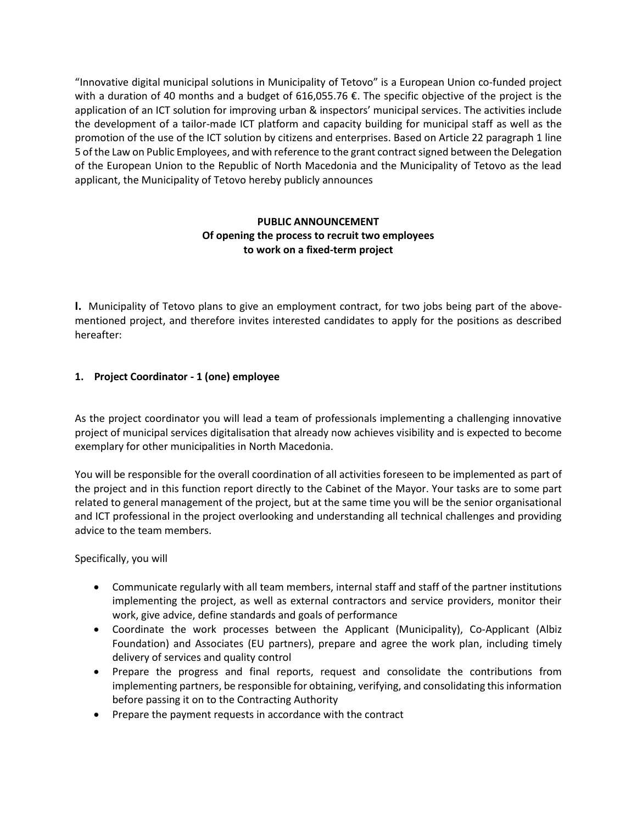"Innovative digital municipal solutions in Municipality of Tetovo" is a European Union co-funded project with a duration of 40 months and a budget of 616,055.76 €. The specific objective of the project is the application of an ICT solution for improving urban & inspectors' municipal services. The activities include the development of a tailor-made ICT platform and capacity building for municipal staff as well as the promotion of the use of the ICT solution by citizens and enterprises. Based on Article 22 paragraph 1 line 5 of the Law on Public Employees, and with reference to the grant contract signed between the Delegation of the European Union to the Republic of North Macedonia and the Municipality of Tetovo as the lead applicant, the Municipality of Tetovo hereby publicly announces

# **PUBLIC ANNOUNCEMENT Of opening the process to recruit two employees to work on a fixed-term project**

**I.** Municipality of Tetovo plans to give an employment contract, for two jobs being part of the abovementioned project, and therefore invites interested candidates to apply for the positions as described hereafter:

# **1. Project Coordinator - 1 (one) employee**

As the project coordinator you will lead a team of professionals implementing a challenging innovative project of municipal services digitalisation that already now achieves visibility and is expected to become exemplary for other municipalities in North Macedonia.

You will be responsible for the overall coordination of all activities foreseen to be implemented as part of the project and in this function report directly to the Cabinet of the Mayor. Your tasks are to some part related to general management of the project, but at the same time you will be the senior organisational and ICT professional in the project overlooking and understanding all technical challenges and providing advice to the team members.

Specifically, you will

- Communicate regularly with all team members, internal staff and staff of the partner institutions implementing the project, as well as external contractors and service providers, monitor their work, give advice, define standards and goals of performance
- Coordinate the work processes between the Applicant (Municipality), Co-Applicant (Albiz Foundation) and Associates (EU partners), prepare and agree the work plan, including timely delivery of services and quality control
- Prepare the progress and final reports, request and consolidate the contributions from implementing partners, be responsible for obtaining, verifying, and consolidating this information before passing it on to the Contracting Authority
- Prepare the payment requests in accordance with the contract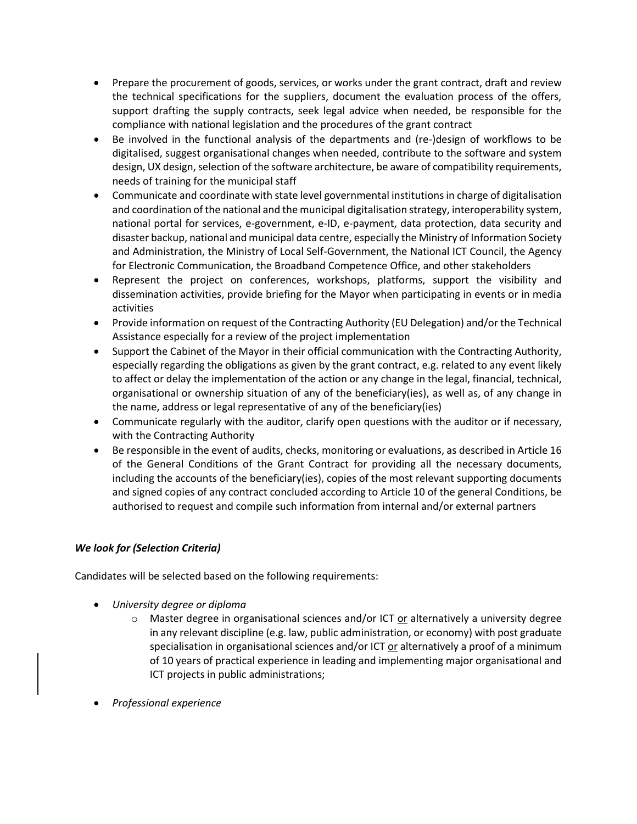- Prepare the procurement of goods, services, or works under the grant contract, draft and review the technical specifications for the suppliers, document the evaluation process of the offers, support drafting the supply contracts, seek legal advice when needed, be responsible for the compliance with national legislation and the procedures of the grant contract
- Be involved in the functional analysis of the departments and (re-)design of workflows to be digitalised, suggest organisational changes when needed, contribute to the software and system design, UX design, selection of the software architecture, be aware of compatibility requirements, needs of training for the municipal staff
- Communicate and coordinate with state level governmental institutions in charge of digitalisation and coordination of the national and the municipal digitalisation strategy, interoperability system, national portal for services, e-government, e-ID, e-payment, data protection, data security and disaster backup, national and municipal data centre, especially the Ministry of Information Society and Administration, the Ministry of Local Self-Government, the National ICT Council, the Agency for Electronic Communication, the Broadband Competence Office, and other stakeholders
- Represent the project on conferences, workshops, platforms, support the visibility and dissemination activities, provide briefing for the Mayor when participating in events or in media activities
- Provide information on request of the Contracting Authority (EU Delegation) and/or the Technical Assistance especially for a review of the project implementation
- Support the Cabinet of the Mayor in their official communication with the Contracting Authority, especially regarding the obligations as given by the grant contract, e.g. related to any event likely to affect or delay the implementation of the action or any change in the legal, financial, technical, organisational or ownership situation of any of the beneficiary(ies), as well as, of any change in the name, address or legal representative of any of the beneficiary(ies)
- Communicate regularly with the auditor, clarify open questions with the auditor or if necessary, with the Contracting Authority
- Be responsible in the event of audits, checks, monitoring or evaluations, as described in Article 16 of the General Conditions of the Grant Contract for providing all the necessary documents, including the accounts of the beneficiary(ies), copies of the most relevant supporting documents and signed copies of any contract concluded according to Article 10 of the general Conditions, be authorised to request and compile such information from internal and/or external partners

# *We look for (Selection Criteria)*

Candidates will be selected based on the following requirements:

- *University degree or diploma*
	- $\circ$  Master degree in organisational sciences and/or ICT or alternatively a university degree in any relevant discipline (e.g. law, public administration, or economy) with post graduate specialisation in organisational sciences and/or ICT or alternatively a proof of a minimum of 10 years of practical experience in leading and implementing major organisational and ICT projects in public administrations;
- *Professional experience*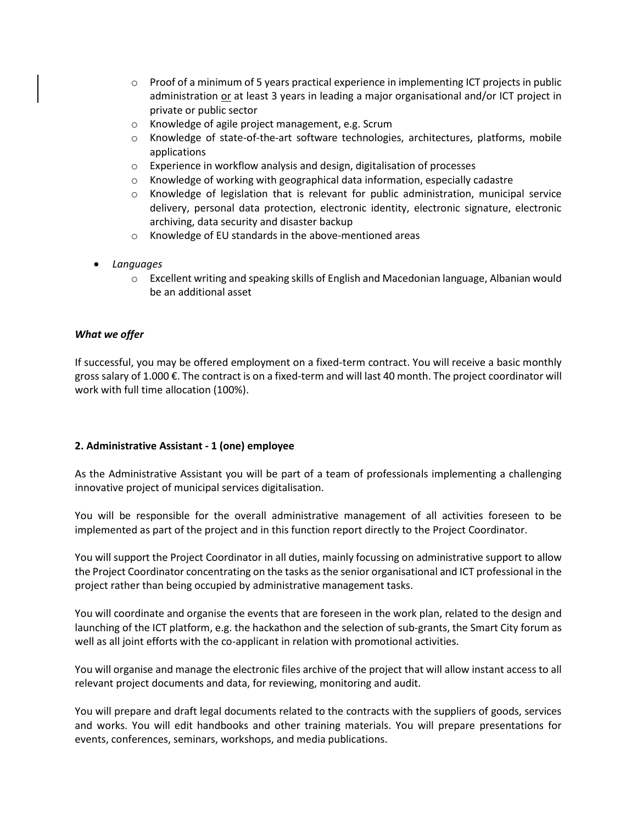- $\circ$  Proof of a minimum of 5 years practical experience in implementing ICT projects in public administration or at least 3 years in leading a major organisational and/or ICT project in private or public sector
- o Knowledge of agile project management, e.g. Scrum
- o Knowledge of state-of-the-art software technologies, architectures, platforms, mobile applications
- o Experience in workflow analysis and design, digitalisation of processes
- o Knowledge of working with geographical data information, especially cadastre
- o Knowledge of legislation that is relevant for public administration, municipal service delivery, personal data protection, electronic identity, electronic signature, electronic archiving, data security and disaster backup
- o Knowledge of EU standards in the above-mentioned areas
- *Languages*
	- $\circ$  Excellent writing and speaking skills of English and Macedonian language, Albanian would be an additional asset

### *What we offer*

If successful, you may be offered employment on a fixed-term contract. You will receive a basic monthly gross salary of 1.000 €. The contract is on a fixed-term and will last 40 month. The project coordinator will work with full time allocation (100%).

#### **2. Administrative Assistant - 1 (one) employee**

As the Administrative Assistant you will be part of a team of professionals implementing a challenging innovative project of municipal services digitalisation.

You will be responsible for the overall administrative management of all activities foreseen to be implemented as part of the project and in this function report directly to the Project Coordinator.

You will support the Project Coordinator in all duties, mainly focussing on administrative support to allow the Project Coordinator concentrating on the tasks as the senior organisational and ICT professional in the project rather than being occupied by administrative management tasks.

You will coordinate and organise the events that are foreseen in the work plan, related to the design and launching of the ICT platform, e.g. the hackathon and the selection of sub-grants, the Smart City forum as well as all joint efforts with the co-applicant in relation with promotional activities.

You will organise and manage the electronic files archive of the project that will allow instant access to all relevant project documents and data, for reviewing, monitoring and audit.

You will prepare and draft legal documents related to the contracts with the suppliers of goods, services and works. You will edit handbooks and other training materials. You will prepare presentations for events, conferences, seminars, workshops, and media publications.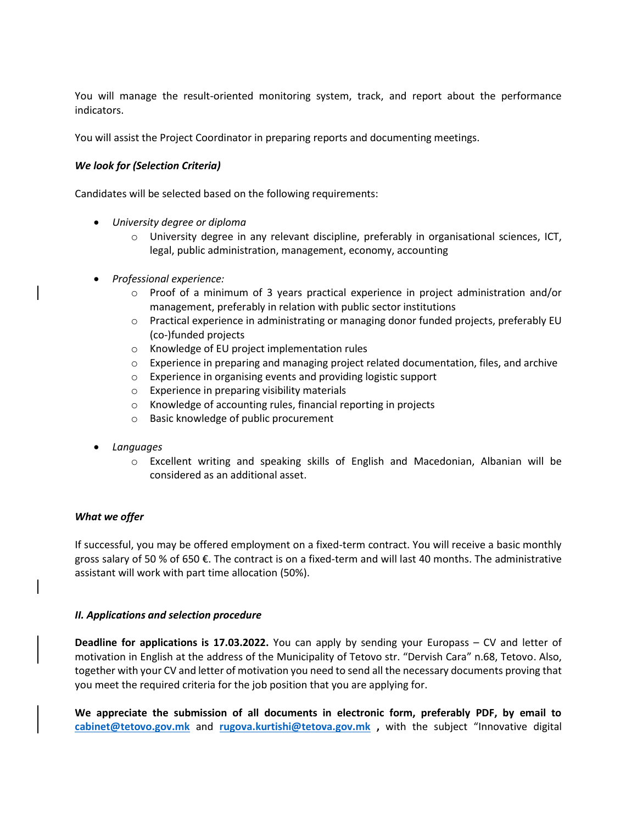You will manage the result-oriented monitoring system, track, and report about the performance indicators.

You will assist the Project Coordinator in preparing reports and documenting meetings.

## *We look for (Selection Criteria)*

Candidates will be selected based on the following requirements:

- *University degree or diploma*
	- o University degree in any relevant discipline, preferably in organisational sciences, ICT, legal, public administration, management, economy, accounting
- *Professional experience:*
	- $\circ$  Proof of a minimum of 3 years practical experience in project administration and/or management, preferably in relation with public sector institutions
	- o Practical experience in administrating or managing donor funded projects, preferably EU (co-)funded projects
	- o Knowledge of EU project implementation rules
	- o Experience in preparing and managing project related documentation, files, and archive
	- o Experience in organising events and providing logistic support
	- o Experience in preparing visibility materials
	- o Knowledge of accounting rules, financial reporting in projects
	- o Basic knowledge of public procurement
- *Languages*
	- o Excellent writing and speaking skills of English and Macedonian, Albanian will be considered as an additional asset.

#### *What we offer*

If successful, you may be offered employment on a fixed-term contract. You will receive a basic monthly gross salary of 50 % of 650 €. The contract is on a fixed-term and will last 40 months. The administrative assistant will work with part time allocation (50%).

#### *II. Applications and selection procedure*

**Deadline for applications is 17.03.2022.** You can apply by sending your Europass – CV and letter of motivation in English at the address of the Municipality of Tetovo str. "Dervish Cara" n.68, Tetovo. Also, together with your CV and letter of motivation you need to send all the necessary documents proving that you meet the required criteria for the job position that you are applying for.

**We appreciate the submission of all documents in electronic form, preferably PDF, by email to [cabinet@tetovo.gov.mk](mailto:cabinet@tetovo.gov.mk)** and **[rugova.kurtishi@tetova.gov.mk](mailto:rugova.kurtishi@tetova.gov.mk) ,** with the subject "Innovative digital